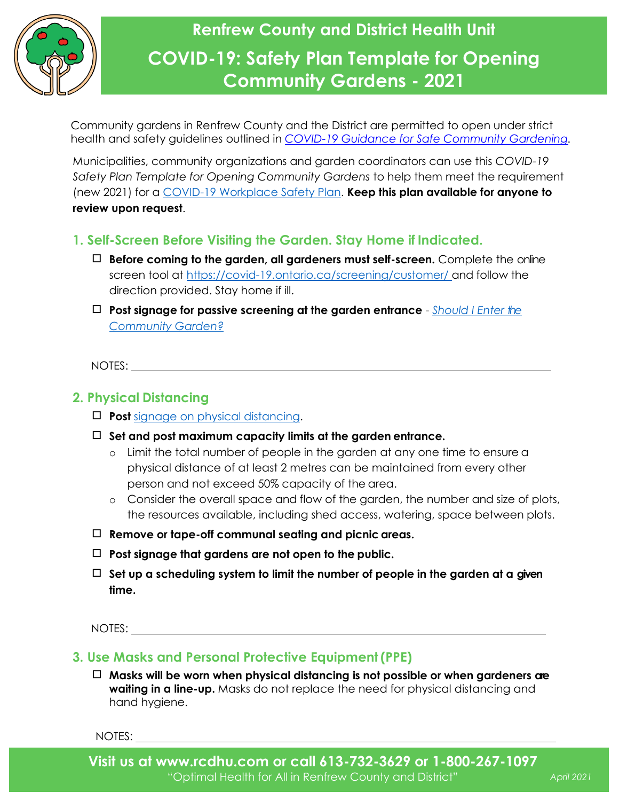

# **Renfrew County and District Health Unit COVID-19: Safety Plan Template for Opening Community Gardens - 2021**

Community gardens in Renfrew County and the District are permitted to open under strict health and safety guidelines outlined in *[COVID-19 Guidance for Safe Community Gardening.](https://www.rcdhu.com/wp-content/uploads/2021/05/COVID-19-Guidance-for-Safe-Community-Gardening-Final-April-29-2021.pdf)*

Municipalities, community organizations and garden coordinators can use this *COVID-19 Safety Plan Template for Opening Community Gardens* to help them meet the requirement (new 2021) for a [COVID-19 Workplace Safety Plan.](https://www.ontario.ca/page/develop-your-covid-19-workplace-safety-plan) **Keep this plan available for anyone to review upon request**.

### **1. Self-Screen Before Visiting the Garden. Stay Home if Indicated.**

- ◻ **Before coming to the garden, all gardeners must self-screen.** Complete the online screen tool at [https://covid-19.ontario.ca/screening/customer/ a](https://covid-19.ontario.ca/screening/customer/)nd follow the direction provided. Stay home if ill.
- ◻ **Post signage for passive screening at the garden entrance**  *[Should I Enter the](https://www.rcdhu.com/wp-content/uploads/2021/01/Should-I-enter-the-Community-Garden.pdf)  [Community Garden?](https://www.rcdhu.com/wp-content/uploads/2020/05/RCDHU-Should-I-enter-the-community-garden-algorithm-01.pdf)*

NOTES:

#### **2. Physical Distancing**

- ◻ **Post** [signage on physical](https://www.rcdhu.com/wp-content/uploads/2020/10/Physical-Distancing-Poster-general-with-no-tips-April-28-2020-FINAL-3.pdf) distancing.
- ◻ **Set and post maximum capacity limits at the garden entrance.**
	- o Limit the total number of people in the garden at any one time to ensure a physical distance of at least 2 metres can be maintained from every other person and not exceed 50% capacity of the area.
	- o Consider the overall space and flow of the garden, the number and size of plots, the resources available, including shed access, watering, space between plots.
- ◻ **Remove or tape-off communal seating and picnic areas.**
- ◻ **Post signage that gardens are not open to the public.**
- ◻ **Set up a scheduling system to limit the number of people in the garden at a given time.**

NOTES:

#### **3. Use Masks and Personal Protective Equipment(PPE)**

◻ **Masks will be worn when physical distancing is not possible or when gardeners are waiting in a line-up.** Masks do not replace the need for physical distancing and hand hygiene.

NOTES:

April 2021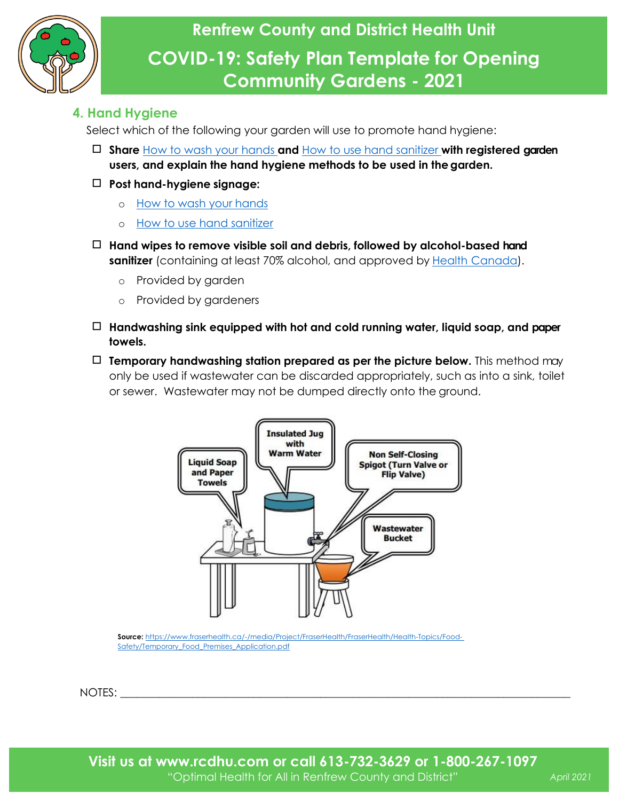

#### **4. Hand Hygiene**

Select which of the following your garden will use to promote hand hygiene:

- ◻ **Share** [How to wash your hands](https://www.publichealthontario.ca/-/media/documents/j/2009/jcyh-handwash.pdf?la=en) **and** [How to use hand sanitizer](https://www.publichealthontario.ca/-/media/documents/j/2009/jcyh-handrub.pdf?la=en) **with registered garden users, and explain the hand hygiene methods to be used in the garden.**
- ◻ **Post hand-hygiene signage:**
	- o [How to wash your](https://www.publichealthontario.ca/-/media/documents/j/2009/jcyh-handwash.pdf?la=en) hands
	- o [How to use hand](https://www.publichealthontario.ca/-/media/documents/j/2009/jcyh-handrub.pdf?la=en) sanitizer
- ◻ **Hand wipes to remove visible soil and debris, followed by alcohol-based hand sanitizer** (containing at least 70% alcohol, and approved by Health [Canada\)](https://www.canada.ca/en/health-canada/services/drugs-health-products/disinfectants/covid-19/hand-sanitizer.html).
	- o Provided by garden
	- o Provided by gardeners
- ◻ **Handwashing sink equipped with hot and cold running water, liquid soap, and paper towels.**
- ◻ **Temporary handwashing station prepared as per the picture below.** This method may only be used if wastewater can be discarded appropriately, such as into a sink, toilet or sewer. Wastewater may not be dumped directly onto the ground.



**Source:** [https://www.fraserhealth.ca/-/media/Project/FraserHealth/FraserHealth/Health-Topics/Food-](https://www.fraserhealth.ca/-/media/Project/FraserHealth/FraserHealth/Health-Topics/Food-Safety/Temporary_Food_Premises_Application.pdf)[Safety/Temporary\\_Food\\_Premises\\_Application.pdf](https://www.fraserhealth.ca/-/media/Project/FraserHealth/FraserHealth/Health-Topics/Food-Safety/Temporary_Food_Premises_Application.pdf)

NOTES: \_\_\_\_\_\_\_\_\_\_\_\_\_\_\_\_\_\_\_\_\_\_\_\_\_\_\_\_\_\_\_\_\_\_\_\_\_\_\_\_\_\_\_\_\_\_\_\_\_\_\_\_\_\_\_\_\_\_\_\_\_\_\_\_\_\_\_\_\_\_\_\_\_\_\_\_\_\_\_\_\_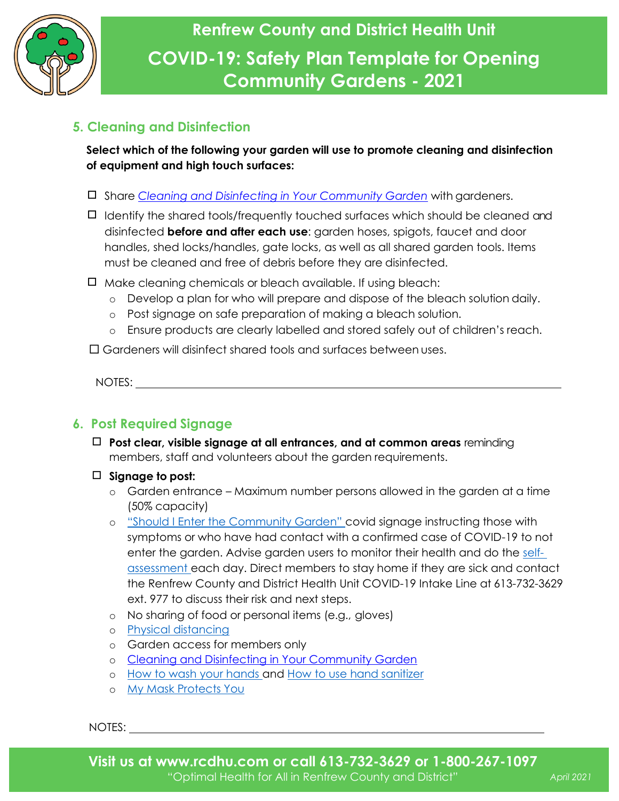

## **5. Cleaning and Disinfection**

**Select which of the following your garden will use to promote cleaning and disinfection of equipment and high touch surfaces:**

- ◻ Share *[Cleaning and Disinfecting in Your Community Garden](https://www.rcdhu.com/wp-content/uploads/2021/05/COVID-19-Fact-Sheet-Cleaning-and-Disinfecting-in-Your-Community-Garden-Final-2021.pdf)* with gardeners.
- ◻ Identify the shared tools/frequently touched surfaces which should be cleaned and disinfected **before and after each use**: garden hoses, spigots, faucet and door handles, shed locks/handles, gate locks, as well as all shared garden tools. Items must be cleaned and free of debris before they are disinfected.
- ◻ Make cleaning chemicals or bleach available. If using bleach:
	- o Develop a plan for who will prepare and dispose of the bleach solution daily.
	- o Post signage on safe preparation of making a bleach solution.
	- o Ensure products are clearly labelled and stored safely out of children's reach.

Gardeners will disinfect shared tools and surfaces between uses.

NOTES:

## **6. Post Required Signage**

- ◻ **Post clear, visible signage at all entrances, and at common areas** reminding members, staff and volunteers about the garden requirements.
- ◻ **Signage to post:**
	- o Garden entrance Maximum number persons allowed in the garden at a time (50% capacity)
	- o ["Should I Enter the Community Garden"](https://www.rcdhu.com/wp-content/uploads/2021/01/Should-I-enter-the-Community-Garden.pdf) covid signage instructing those with symptoms or who have had contact with a confirmed case of COVID-19 to not enter the garden. Advise garden users to monitor their health and do the [self](https://covid-19.ontario.ca/self-assessment/)[assessment e](https://covid-19.ontario.ca/self-assessment/)ach day. Direct members to stay home if they are sick and contact the Renfrew County and District Health Unit COVID-19 Intake Line at 613-732-3629 ext. 977 to discuss their risk and next steps.
	- o No sharing of food or personal items (e.g., gloves)
	- o Physical [distancing](https://www.rcdhu.com/wp-content/uploads/2020/10/Physical-Distancing-Poster-general-with-no-tips-April-28-2020-FINAL-3.pdf)
	- o Garden access for members only
	- o [Cleaning and Disinfecting in Your Community Garden](https://www.rcdhu.com/wp-content/uploads/2021/05/COVID-19-Fact-Sheet-Cleaning-and-Disinfecting-in-Your-Community-Garden-Final-2021.pdf)
	- o [How to wash your hands a](https://www.publichealthontario.ca/-/media/documents/j/2009/jcyh-handwash.pdf?la=en)nd [How to use hand](https://www.publichealthontario.ca/-/media/documents/j/2009/jcyh-handrub.pdf?la=en) sanitizer
	- o [My Mask Protects](https://www.rcdhu.com/wp-content/uploads/2020/08/MY-mask-protects-YOU-Poster.pdf) You

NOTES: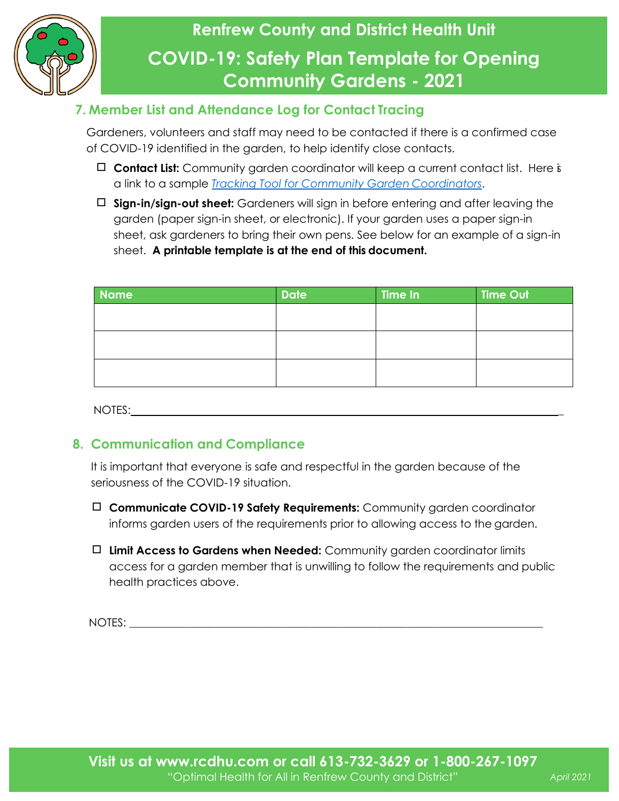

## **7. Member List and Attendance Log for Contact Tracing**

Gardeners, volunteers and staff may need to be contacted if there is a confirmed case of COVID-19 identified in the garden, to help identify close contacts.

- ◻ **Contact List:** Community garden coordinator will keep a current contact list. Here is a link to a sample *[Tracking Tool for Community Garden](https://www.rcdhu.com/wp-content/uploads/2021/05/Tracking-Tool-for-Community-Garden-Coordinators-Covid-19-Requirements-FINAL.pdf) Coordinators*.
- ◻ **Sign-in/sign-out sheet:** Gardeners will sign in before entering and after leaving the garden (paper sign-in sheet, or electronic). If your garden uses a paper sign-in sheet, ask gardeners to bring their own pens. See below for an example of a sign-in sheet. **A printable template is at the end of this document.**

| <b>Name</b> | <b>Date</b> | Time In | <b>Time Out</b> |
|-------------|-------------|---------|-----------------|
|             |             |         |                 |
|             |             |         |                 |
|             |             |         |                 |
|             |             |         |                 |
|             |             |         |                 |
|             |             |         |                 |

NOTES: **\_**

### **8. Communication and Compliance**

It is important that everyone is safe and respectful in the garden because of the seriousness of the COVID-19 situation.

- ◻ **Communicate COVID-19 Safety Requirements:** Community garden coordinator informs garden users of the requirements prior to allowing access to the garden.
- ◻ **Limit Access to Gardens when Needed:** Community garden coordinator limits access for a garden member that is unwilling to follow the requirements and public health practices above.

NOTES: with the set of the set of the set of the set of the set of the set of the set of the set of the set of the set of the set of the set of the set of the set of the set of the set of the set of the set of the set of t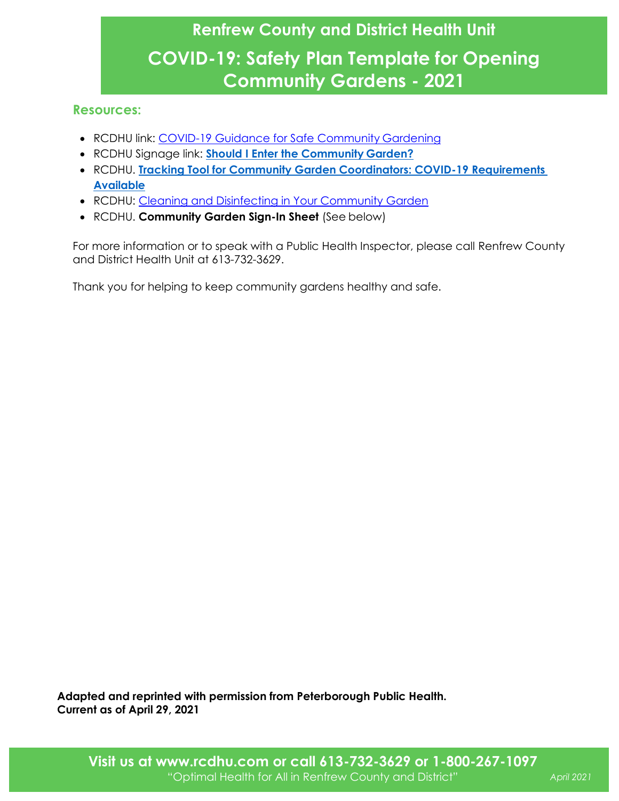# **Renfrew County and District Health Unit COVID-19: Safety Plan Template for Opening Community Gardens - 2021**

#### **Resources:**

- RCDHU link: [COVID-19 Guidance for Safe Community](https://www.rcdhu.com/wp-content/uploads/2021/05/COVID-19-Guidance-for-Safe-Community-Gardening-Final-April-29-2021.pdf) Gardening
- RCDHU Signage link: **[Should I Enter the Community](https://www.rcdhu.com/wp-content/uploads/2021/01/Should-I-enter-the-Community-Garden.pdf) Garden?**
- RCDHU. **[Tracking Tool for Community Garden Coordinators: COVID-19 Requirements](https://www.rcdhu.com/wp-content/uploads/2021/05/Tracking-Tool-for-Community-Garden-Coordinators-Covid-19-Requirements-FINAL.pdf)  [Available](https://www.rcdhu.com/wp-content/uploads/2020/05/RCDHU-Tracking-Tool-for-Community-Garden-Coordinators-Covid-19-Requirements-B.pdf)**
- RCDHU: Cleaning and [Disinfecting in Your Community Garden](https://www.rcdhu.com/wp-content/uploads/2021/05/COVID-19-Fact-Sheet-Cleaning-and-Disinfecting-in-Your-Community-Garden-Final-2021.pdf)
- RCDHU. **Community Garden Sign-In Sheet** (See below)

For more information or to speak with a Public Health Inspector, please call Renfrew County and District Health Unit at 613-732-3629.

Thank you for helping to keep community gardens healthy and safe.

**Adapted and reprinted with permission from Peterborough Public Health. Current as of April 29, 2021**

**Visit us at www.rcdhu.com or call 613-732-3629 or 1-800-267-1097** "Optimal Health for All in Renfrew County and District"